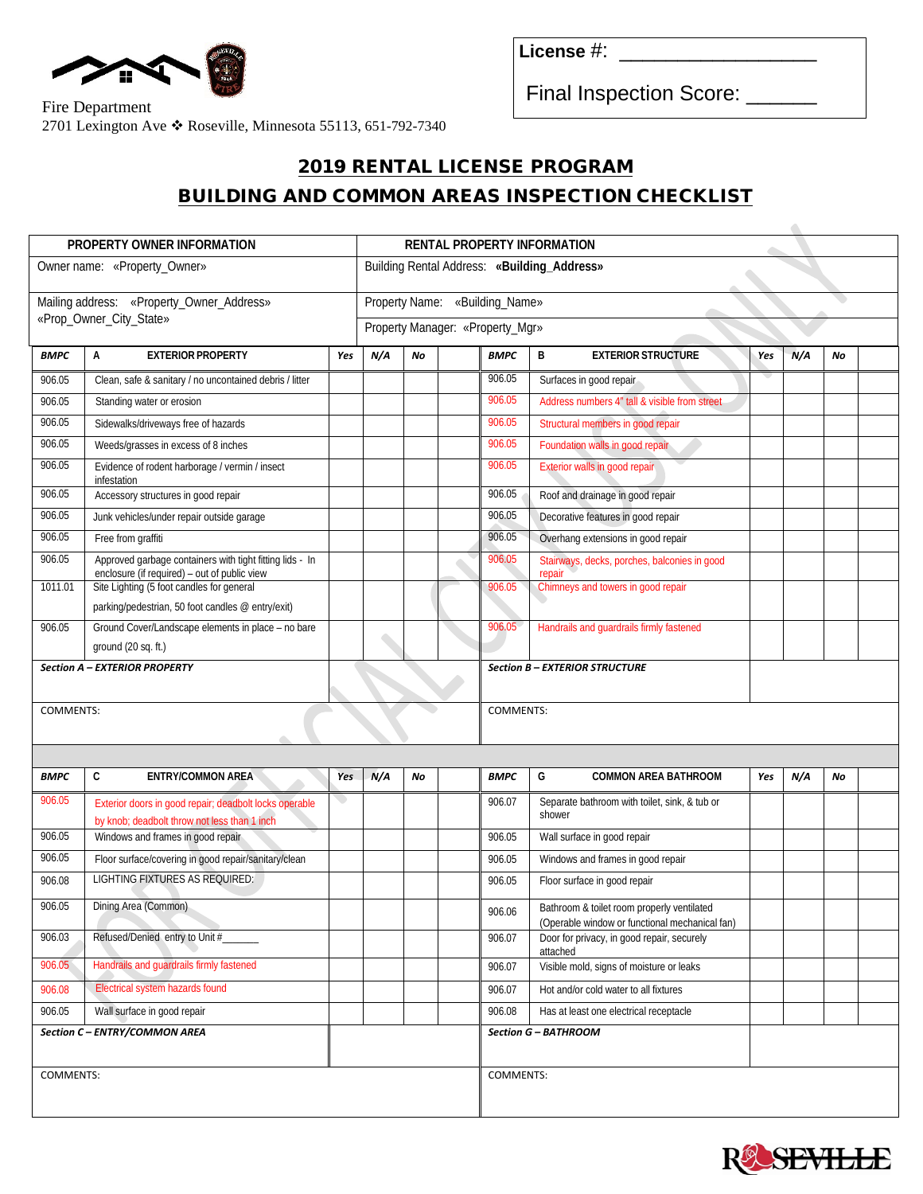

**License** #: \_\_\_\_\_\_\_\_\_\_\_\_\_\_\_\_\_

Final Inspection Score: \_\_\_\_\_\_

## Fire Department 2701 Lexington Ave \* Roseville, Minnesota 55113, 651-792-7340

## 2019 RENTAL LICENSE PROGRAM BUILDING AND COMMON AREAS INSPECTION CHECKLIST

| PROPERTY OWNER INFORMATION                |                                                                                                          |            | RENTAL PROPERTY INFORMATION                 |    |                  |             |                                                                                              |     |     |    |  |  |
|-------------------------------------------|----------------------------------------------------------------------------------------------------------|------------|---------------------------------------------|----|------------------|-------------|----------------------------------------------------------------------------------------------|-----|-----|----|--|--|
| Owner name: «Property_Owner»              |                                                                                                          |            | Building Rental Address: «Building_Address» |    |                  |             |                                                                                              |     |     |    |  |  |
|                                           |                                                                                                          |            |                                             |    |                  |             |                                                                                              |     |     |    |  |  |
| Mailing address: «Property_Owner_Address» |                                                                                                          |            | «Building_Name»<br>Property Name:           |    |                  |             |                                                                                              |     |     |    |  |  |
| «Prop_Owner_City_State»                   |                                                                                                          |            | Property Manager: «Property_Mgr»            |    |                  |             |                                                                                              |     |     |    |  |  |
| <b>BMPC</b>                               | A<br><b>EXTERIOR PROPERTY</b>                                                                            | Yes        | N/A                                         | No |                  | <b>BMPC</b> | B<br><b>EXTERIOR STRUCTURE</b>                                                               | Yes | N/A | No |  |  |
| 906.05                                    | Clean, safe & sanitary / no uncontained debris / litter                                                  |            |                                             |    |                  | 906.05      | Surfaces in good repair                                                                      |     |     |    |  |  |
| 906.05                                    | Standing water or erosion                                                                                |            |                                             |    |                  | 906.05      | Address numbers 4" tall & visible from street                                                |     |     |    |  |  |
| 906.05                                    | Sidewalks/driveways free of hazards                                                                      |            |                                             |    |                  | 906.05      | Structural members in good repair                                                            |     |     |    |  |  |
| 906.05                                    | Weeds/grasses in excess of 8 inches                                                                      |            |                                             |    |                  | 906.05      | Foundation walls in good repair                                                              |     |     |    |  |  |
| 906.05                                    | Evidence of rodent harborage / vermin / insect<br>infestation                                            |            |                                             |    |                  | 906.05      | Exterior walls in good repair                                                                |     |     |    |  |  |
| 906.05                                    | Accessory structures in good repair                                                                      |            |                                             |    |                  | 906.05      | Roof and drainage in good repair                                                             |     |     |    |  |  |
| 906.05                                    | Junk vehicles/under repair outside garage                                                                |            |                                             |    |                  | 906.05      | Decorative features in good repair                                                           |     |     |    |  |  |
| 906.05                                    | Free from graffiti                                                                                       |            |                                             |    |                  | 906.05      | Overhang extensions in good repair                                                           |     |     |    |  |  |
| 906.05                                    | Approved garbage containers with tight fitting lids - In<br>enclosure (if required) - out of public view |            |                                             |    |                  | 906.05      | Stairways, decks, porches, balconies in good<br>repair                                       |     |     |    |  |  |
| 1011.01                                   | Site Lighting (5 foot candles for general                                                                |            |                                             |    |                  | 906.05      | Chimneys and towers in good repair                                                           |     |     |    |  |  |
|                                           | parking/pedestrian, 50 foot candles @ entry/exit)                                                        |            |                                             |    |                  |             |                                                                                              |     |     |    |  |  |
| 906.05                                    | Ground Cover/Landscape elements in place - no bare                                                       |            |                                             |    |                  | 906.05      | Handrails and guardrails firmly fastened                                                     |     |     |    |  |  |
|                                           | ground (20 sq. ft.)                                                                                      |            |                                             |    |                  |             |                                                                                              |     |     |    |  |  |
| Section A - EXTERIOR PROPERTY             |                                                                                                          |            |                                             |    |                  |             | <b>Section B - EXTERIOR STRUCTURE</b>                                                        |     |     |    |  |  |
|                                           |                                                                                                          |            |                                             |    |                  |             |                                                                                              |     |     |    |  |  |
| <b>COMMENTS:</b>                          |                                                                                                          |            |                                             |    | <b>COMMENTS:</b> |             |                                                                                              |     |     |    |  |  |
|                                           |                                                                                                          |            |                                             |    |                  |             |                                                                                              |     |     |    |  |  |
| <b>BMPC</b>                               | C<br><b>ENTRY/COMMON AREA</b>                                                                            | <b>Yes</b> | N/A                                         | No |                  | <b>BMPC</b> | G<br><b>COMMON AREA BATHROOM</b>                                                             | Yes | N/A | No |  |  |
| 906.05                                    | Exterior doors in good repair; deadbolt locks operable                                                   |            |                                             |    |                  | 906.07      | Separate bathroom with toilet, sink, & tub or                                                |     |     |    |  |  |
|                                           | by knob; deadbolt throw not less than 1 inch                                                             |            |                                             |    |                  |             | shower                                                                                       |     |     |    |  |  |
| 906.05                                    | Windows and frames in good repair                                                                        |            |                                             |    |                  | 906.05      | Wall surface in good repair                                                                  |     |     |    |  |  |
| 906.05                                    | Floor surface/covering in good repair/sanitary/clean                                                     |            |                                             |    |                  | 906.05      | Windows and frames in good repair                                                            |     |     |    |  |  |
| 906.08                                    | LIGHTING FIXTURES AS REQUIRED:                                                                           |            |                                             |    |                  | 906.05      | Floor surface in good repair                                                                 |     |     |    |  |  |
| 906.05                                    | Dining Area (Common)                                                                                     |            |                                             |    |                  | 906.06      | Bathroom & toilet room properly ventilated<br>(Operable window or functional mechanical fan) |     |     |    |  |  |
| 906.03                                    | Refused/Denied entry to Unit #                                                                           |            |                                             |    |                  | 906.07      | Door for privacy, in good repair, securely<br>attached                                       |     |     |    |  |  |
| 906.05                                    | Handrails and guardrails firmly fastened                                                                 |            |                                             |    |                  | 906.07      | Visible mold, signs of moisture or leaks                                                     |     |     |    |  |  |
| 906.08                                    | Electrical system hazards found                                                                          |            |                                             |    |                  | 906.07      | Hot and/or cold water to all fixtures                                                        |     |     |    |  |  |
| 906.05                                    | Wall surface in good repair                                                                              |            |                                             |    |                  | 906.08      | Has at least one electrical receptacle                                                       |     |     |    |  |  |
| Section C - ENTRY/COMMON AREA             |                                                                                                          |            |                                             |    |                  |             | Section G - BATHROOM                                                                         |     |     |    |  |  |
|                                           |                                                                                                          |            |                                             |    |                  |             |                                                                                              |     |     |    |  |  |
| <b>COMMENTS:</b>                          |                                                                                                          |            |                                             |    | <b>COMMENTS:</b> |             |                                                                                              |     |     |    |  |  |
|                                           |                                                                                                          |            |                                             |    |                  |             |                                                                                              |     |     |    |  |  |
|                                           |                                                                                                          |            |                                             |    |                  |             |                                                                                              |     |     |    |  |  |